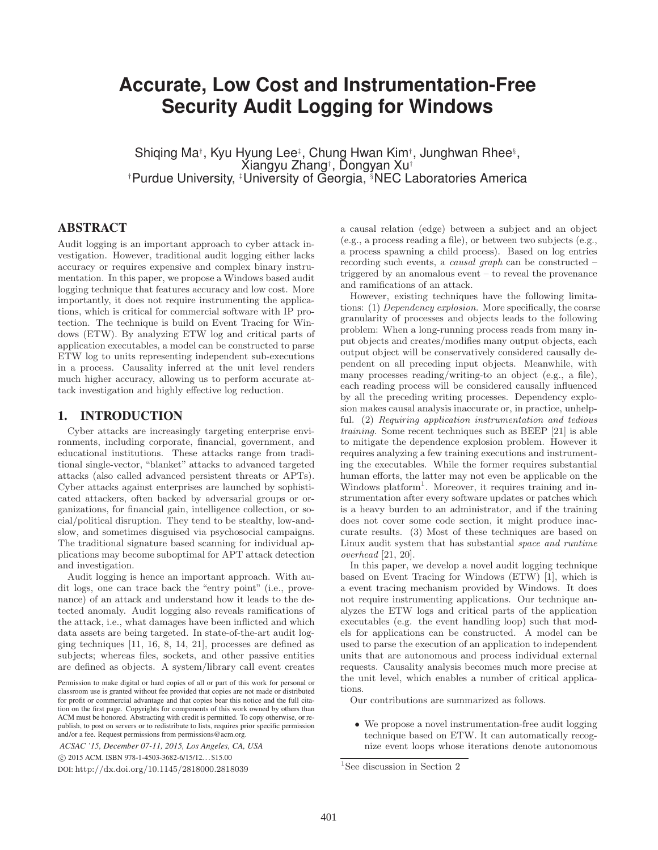# **Accurate, Low Cost and Instrumentation-Free Security Audit Logging for Windows**

Shiqing Ma†, Kyu Hyung Lee‡, Chung Hwan Kim†, Junghwan Rhee§, Xiangyu Zhang†, Dongyan Xu† †Purdue University, ‡University of Georgia, §NEC Laboratories America

## ABSTRACT

Audit logging is an important approach to cyber attack investigation. However, traditional audit logging either lacks accuracy or requires expensive and complex binary instrumentation. In this paper, we propose a Windows based audit logging technique that features accuracy and low cost. More importantly, it does not require instrumenting the applications, which is critical for commercial software with IP protection. The technique is build on Event Tracing for Windows (ETW). By analyzing ETW log and critical parts of application executables, a model can be constructed to parse ETW log to units representing independent sub-executions in a process. Causality inferred at the unit level renders much higher accuracy, allowing us to perform accurate attack investigation and highly effective log reduction.

## 1. INTRODUCTION

Cyber attacks are increasingly targeting enterprise environments, including corporate, financial, government, and educational institutions. These attacks range from traditional single-vector, "blanket" attacks to advanced targeted attacks (also called advanced persistent threats or APTs). Cyber attacks against enterprises are launched by sophisticated attackers, often backed by adversarial groups or organizations, for financial gain, intelligence collection, or social/political disruption. They tend to be stealthy, low-andslow, and sometimes disguised via psychosocial campaigns. The traditional signature based scanning for individual applications may become suboptimal for APT attack detection and investigation.

Audit logging is hence an important approach. With audit logs, one can trace back the "entry point" (i.e., provenance) of an attack and understand how it leads to the detected anomaly. Audit logging also reveals ramifications of the attack, i.e., what damages have been inflicted and which data assets are being targeted. In state-of-the-art audit logging techniques [11, 16, 8, 14, 21], processes are defined as subjects; whereas files, sockets, and other passive entities are defined as objects. A system/library call event creates

*ACSAC '15, December 07-11, 2015, Los Angeles, CA, USA*

a causal relation (edge) between a subject and an object (e.g., a process reading a file), or between two subjects (e.g., a process spawning a child process). Based on log entries recording such events, a *causal graph* can be constructed – triggered by an anomalous event – to reveal the provenance and ramifications of an attack.

However, existing techniques have the following limitations: (1) *Dependency explosion*. More specifically, the coarse granularity of processes and objects leads to the following problem: When a long-running process reads from many input objects and creates/modifies many output objects, each output object will be conservatively considered causally dependent on all preceding input objects. Meanwhile, with many processes reading/writing-to an object (e.g., a file), each reading process will be considered causally influenced by all the preceding writing processes. Dependency explosion makes causal analysis inaccurate or, in practice, unhelpful. (2) *Requiring application instrumentation and tedious training.* Some recent techniques such as BEEP [21] is able to mitigate the dependence explosion problem. However it requires analyzing a few training executions and instrumenting the executables. While the former requires substantial human efforts, the latter may not even be applicable on the Windows platform<sup>1</sup>. Moreover, it requires training and instrumentation after every software updates or patches which is a heavy burden to an administrator, and if the training does not cover some code section, it might produce inaccurate results. (3) Most of these techniques are based on Linux audit system that has substantial *space and runtime overhead* [21, 20].

In this paper, we develop a novel audit logging technique based on Event Tracing for Windows (ETW) [1], which is a event tracing mechanism provided by Windows. It does not require instrumenting applications. Our technique analyzes the ETW logs and critical parts of the application executables (e.g. the event handling loop) such that models for applications can be constructed. A model can be used to parse the execution of an application to independent units that are autonomous and process individual external requests. Causality analysis becomes much more precise at the unit level, which enables a number of critical applications.

Our contributions are summarized as follows.

• We propose a novel instrumentation-free audit logging technique based on ETW. It can automatically recognize event loops whose iterations denote autonomous

Permission to make digital or hard copies of all or part of this work for personal or classroom use is granted without fee provided that copies are not made or distributed for profit or commercial advantage and that copies bear this notice and the full citation on the first page. Copyrights for components of this work owned by others than ACM must be honored. Abstracting with credit is permitted. To copy otherwise, or republish, to post on servers or to redistribute to lists, requires prior specific permission and/or a fee. Request permissions from permissions@acm.org.

<sup>-</sup>c 2015 ACM. ISBN 978-1-4503-3682-6/15/12. . . \$15.00

DOI: http://dx.doi.org/10.1145/2818000.2818039

 $^1\rm{See}$  discussion in Section 2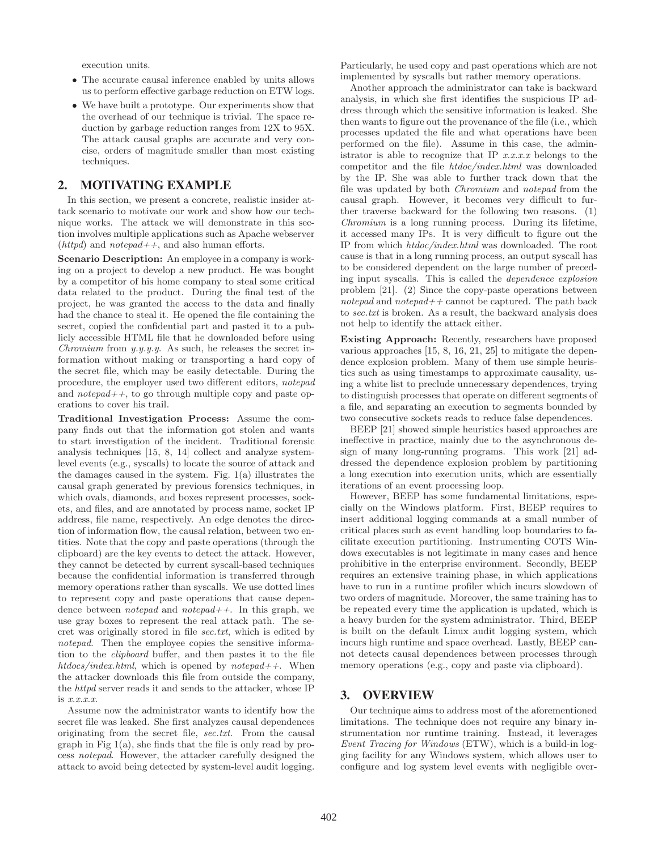execution units.

- The accurate causal inference enabled by units allows us to perform effective garbage reduction on ETW logs.
- We have built a prototype. Our experiments show that the overhead of our technique is trivial. The space reduction by garbage reduction ranges from 12X to 95X. The attack causal graphs are accurate and very concise, orders of magnitude smaller than most existing techniques.

#### 2. MOTIVATING EXAMPLE

In this section, we present a concrete, realistic insider attack scenario to motivate our work and show how our technique works. The attack we will demonstrate in this section involves multiple applications such as Apache webserver (*httpd*) and *notepad++*, and also human efforts.

**Scenario Description:** An employee in a company is working on a project to develop a new product. He was bought by a competitor of his home company to steal some critical data related to the product. During the final test of the project, he was granted the access to the data and finally had the chance to steal it. He opened the file containing the secret, copied the confidential part and pasted it to a publicly accessible HTML file that he downloaded before using *Chromium* from *y.y.y.y*. As such, he releases the secret information without making or transporting a hard copy of the secret file, which may be easily detectable. During the procedure, the employer used two different editors, *notepad* and *notepad++*, to go through multiple copy and paste operations to cover his trail.

**Traditional Investigation Process:** Assume the company finds out that the information got stolen and wants to start investigation of the incident. Traditional forensic analysis techniques [15, 8, 14] collect and analyze systemlevel events (e.g., syscalls) to locate the source of attack and the damages caused in the system. Fig. 1(a) illustrates the causal graph generated by previous forensics techniques, in which ovals, diamonds, and boxes represent processes, sockets, and files, and are annotated by process name, socket IP address, file name, respectively. An edge denotes the direction of information flow, the causal relation, between two entities. Note that the copy and paste operations (through the clipboard) are the key events to detect the attack. However, they cannot be detected by current syscall-based techniques because the confidential information is transferred through memory operations rather than syscalls. We use dotted lines to represent copy and paste operations that cause dependence between *notepad* and *notepad++*. In this graph, we use gray boxes to represent the real attack path. The secret was originally stored in file *sec.txt*, which is edited by *notepad*. Then the employee copies the sensitive information to the *clipboard* buffer, and then pastes it to the file *htdocs/index.html*, which is opened by *notepad++*. When the attacker downloads this file from outside the company, the *httpd* server reads it and sends to the attacker, whose IP is *x.x.x.x*.

Assume now the administrator wants to identify how the secret file was leaked. She first analyzes causal dependences originating from the secret file, *sec.txt*. From the causal graph in Fig  $1(a)$ , she finds that the file is only read by process *notepad*. However, the attacker carefully designed the attack to avoid being detected by system-level audit logging.

Particularly, he used copy and past operations which are not implemented by syscalls but rather memory operations.

Another approach the administrator can take is backward analysis, in which she first identifies the suspicious IP address through which the sensitive information is leaked. She then wants to figure out the provenance of the file (i.e., which processes updated the file and what operations have been performed on the file). Assume in this case, the administrator is able to recognize that IP *x.x.x.x* belongs to the competitor and the file *htdoc/index.html* was downloaded by the IP. She was able to further track down that the file was updated by both *Chromium* and *notepad* from the causal graph. However, it becomes very difficult to further traverse backward for the following two reasons. (1) *Chromium* is a long running process. During its lifetime, it accessed many IPs. It is very difficult to figure out the IP from which *htdoc/index.html* was downloaded. The root cause is that in a long running process, an output syscall has to be considered dependent on the large number of preceding input syscalls. This is called the *dependence explosion* problem [21]. (2) Since the copy-paste operations between *notepad* and *notepad++* cannot be captured. The path back to *sec.txt* is broken. As a result, the backward analysis does not help to identify the attack either.

**Existing Approach:** Recently, researchers have proposed various approaches [15, 8, 16, 21, 25] to mitigate the dependence explosion problem. Many of them use simple heuristics such as using timestamps to approximate causality, using a white list to preclude unnecessary dependences, trying to distinguish processes that operate on different segments of a file, and separating an execution to segments bounded by two consecutive sockets reads to reduce false dependences.

BEEP [21] showed simple heuristics based approaches are ineffective in practice, mainly due to the asynchronous design of many long-running programs. This work [21] addressed the dependence explosion problem by partitioning a long execution into execution units, which are essentially iterations of an event processing loop.

However, BEEP has some fundamental limitations, especially on the Windows platform. First, BEEP requires to insert additional logging commands at a small number of critical places such as event handling loop boundaries to facilitate execution partitioning. Instrumenting COTS Windows executables is not legitimate in many cases and hence prohibitive in the enterprise environment. Secondly, BEEP requires an extensive training phase, in which applications have to run in a runtime profiler which incurs slowdown of two orders of magnitude. Moreover, the same training has to be repeated every time the application is updated, which is a heavy burden for the system administrator. Third, BEEP is built on the default Linux audit logging system, which incurs high runtime and space overhead. Lastly, BEEP cannot detects causal dependences between processes through memory operations (e.g., copy and paste via clipboard).

#### 3. OVERVIEW

Our technique aims to address most of the aforementioned limitations. The technique does not require any binary instrumentation nor runtime training. Instead, it leverages *Event Tracing for Windows* (ETW), which is a build-in logging facility for any Windows system, which allows user to configure and log system level events with negligible over-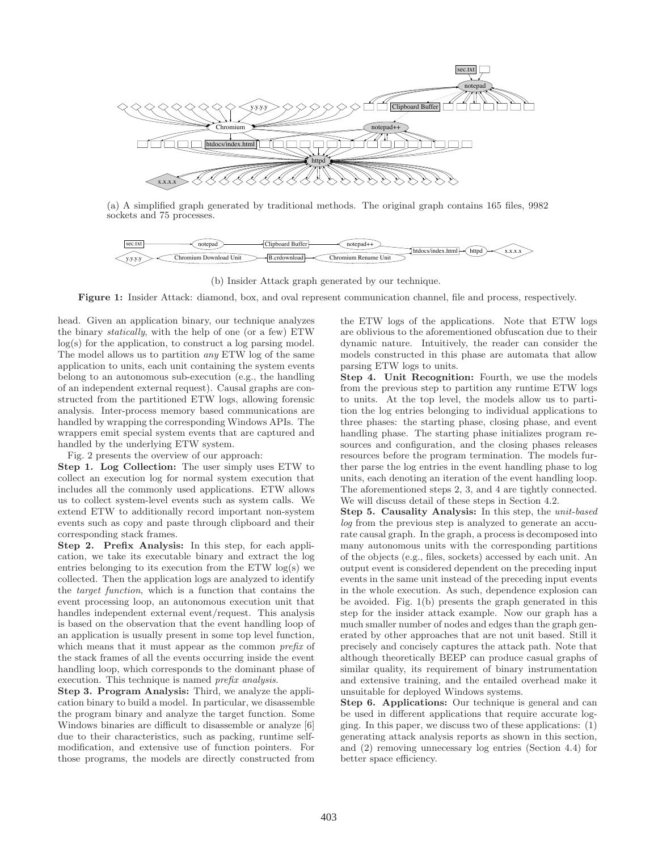

(a) A simplified graph generated by traditional methods. The original graph contains 165 files, 9982 sockets and 75 processes.



(b) Insider Attack graph generated by our technique.

**Figure 1:** Insider Attack: diamond, box, and oval represent communication channel, file and process, respectively.

head. Given an application binary, our technique analyzes the binary *statically*, with the help of one (or a few) ETW log(s) for the application, to construct a log parsing model. The model allows us to partition *any* ETW log of the same application to units, each unit containing the system events belong to an autonomous sub-execution (e.g., the handling of an independent external request). Causal graphs are constructed from the partitioned ETW logs, allowing forensic analysis. Inter-process memory based communications are handled by wrapping the corresponding Windows APIs. The wrappers emit special system events that are captured and handled by the underlying ETW system.

Fig. 2 presents the overview of our approach:

**Step 1. Log Collection:** The user simply uses ETW to collect an execution log for normal system execution that includes all the commonly used applications. ETW allows us to collect system-level events such as system calls. We extend ETW to additionally record important non-system events such as copy and paste through clipboard and their corresponding stack frames.

**Step 2. Prefix Analysis:** In this step, for each application, we take its executable binary and extract the log entries belonging to its execution from the ETW log(s) we collected. Then the application logs are analyzed to identify the *target function*, which is a function that contains the event processing loop, an autonomous execution unit that handles independent external event/request. This analysis is based on the observation that the event handling loop of an application is usually present in some top level function, which means that it must appear as the common *prefix* of the stack frames of all the events occurring inside the event handling loop, which corresponds to the dominant phase of execution. This technique is named *prefix analysis*.

**Step 3. Program Analysis:** Third, we analyze the application binary to build a model. In particular, we disassemble the program binary and analyze the target function. Some Windows binaries are difficult to disassemble or analyze [6] due to their characteristics, such as packing, runtime selfmodification, and extensive use of function pointers. For those programs, the models are directly constructed from the ETW logs of the applications. Note that ETW logs are oblivious to the aforementioned obfuscation due to their dynamic nature. Intuitively, the reader can consider the models constructed in this phase are automata that allow parsing ETW logs to units.

**Step 4. Unit Recognition:** Fourth, we use the models from the previous step to partition any runtime ETW logs to units. At the top level, the models allow us to partition the log entries belonging to individual applications to three phases: the starting phase, closing phase, and event handling phase. The starting phase initializes program resources and configuration, and the closing phases releases resources before the program termination. The models further parse the log entries in the event handling phase to log units, each denoting an iteration of the event handling loop. The aforementioned steps 2, 3, and 4 are tightly connected. We will discuss detail of these steps in Section 4.2.

**Step 5. Causality Analysis:** In this step, the *unit-based log* from the previous step is analyzed to generate an accurate causal graph. In the graph, a process is decomposed into many autonomous units with the corresponding partitions of the objects (e.g., files, sockets) accessed by each unit. An output event is considered dependent on the preceding input events in the same unit instead of the preceding input events in the whole execution. As such, dependence explosion can be avoided. Fig. 1(b) presents the graph generated in this step for the insider attack example. Now our graph has a much smaller number of nodes and edges than the graph generated by other approaches that are not unit based. Still it precisely and concisely captures the attack path. Note that although theoretically BEEP can produce casual graphs of similar quality, its requirement of binary instrumentation and extensive training, and the entailed overhead make it unsuitable for deployed Windows systems.

**Step 6. Applications:** Our technique is general and can be used in different applications that require accurate logging. In this paper, we discuss two of these applications: (1) generating attack analysis reports as shown in this section, and (2) removing unnecessary log entries (Section 4.4) for better space efficiency.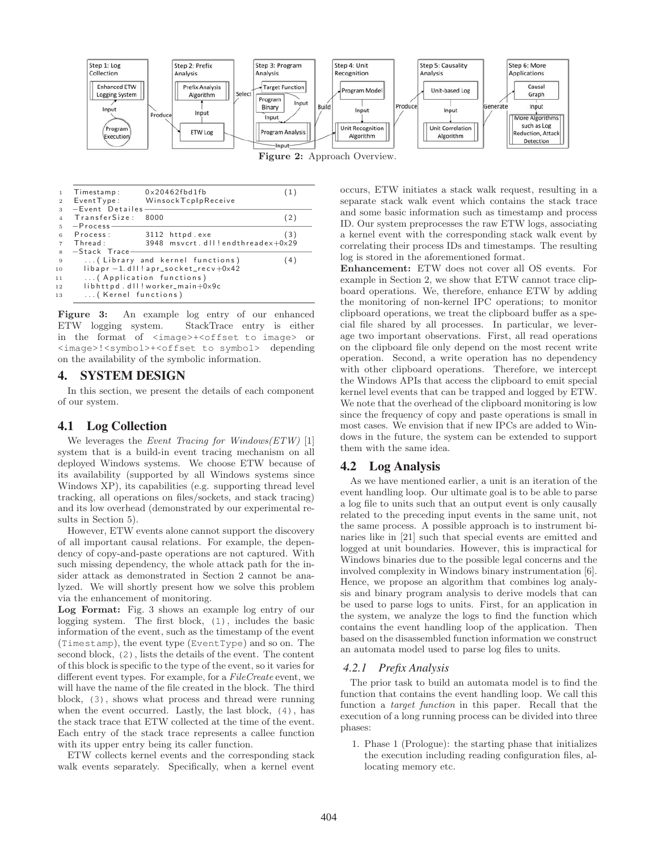

**Figure 2:** Approach Overview.

| Timestamp:         | $0\times20462$ fbd1fb                  | (1) |
|--------------------|----------------------------------------|-----|
| EventType:         | WinsockTcpIpReceive                    |     |
| -Event Detailes    |                                        |     |
| TransferSize:      | 8000                                   | (2) |
| $-Process-$        |                                        |     |
| Process:           | 3112 httpd.exe                         | (3) |
| Thread:            | 3948 msvcrt.dll!endthreadex+0x29       |     |
| -Stack Trace-      |                                        |     |
|                    | (Library and kernel functions)         | (4) |
|                    | $libapr - 1. d  lnpr_socket_recv+0x42$ |     |
|                    | (Application functions)                |     |
|                    | libhttpd.dll!worker_main+0x9c          |     |
| (Kernel functions) |                                        |     |
|                    |                                        |     |

**Figure 3:** An example log entry of our enhanced ETW logging system. StackTrace entry is either in the format of <image>+<offset to image> or <image>!<symbol>+<offset to symbol> depending on the availability of the symbolic information.

#### 4. SYSTEM DESIGN

In this section, we present the details of each component of our system.

## 4.1 Log Collection

We leverages the *Event Tracing for Windows(ETW)* [1] system that is a build-in event tracing mechanism on all deployed Windows systems. We choose ETW because of its availability (supported by all Windows systems since Windows XP), its capabilities (e.g. supporting thread level tracking, all operations on files/sockets, and stack tracing) and its low overhead (demonstrated by our experimental results in Section 5).

However, ETW events alone cannot support the discovery of all important causal relations. For example, the dependency of copy-and-paste operations are not captured. With such missing dependency, the whole attack path for the insider attack as demonstrated in Section 2 cannot be analyzed. We will shortly present how we solve this problem via the enhancement of monitoring.

**Log Format:** Fig. 3 shows an example log entry of our logging system. The first block, (1), includes the basic information of the event, such as the timestamp of the event (Timestamp), the event type (EventType) and so on. The second block, (2), lists the details of the event. The content of this block is specific to the type of the event, so it varies for different event types. For example, for a *FileCreate* event, we will have the name of the file created in the block. The third block, (3), shows what process and thread were running when the event occurred. Lastly, the last block, (4), has the stack trace that ETW collected at the time of the event. Each entry of the stack trace represents a callee function with its upper entry being its caller function.

ETW collects kernel events and the corresponding stack walk events separately. Specifically, when a kernel event occurs, ETW initiates a stack walk request, resulting in a separate stack walk event which contains the stack trace and some basic information such as timestamp and process ID. Our system preprocesses the raw ETW logs, associating a kernel event with the corresponding stack walk event by correlating their process IDs and timestamps. The resulting log is stored in the aforementioned format.

**Enhancement:** ETW does not cover all OS events. For example in Section 2, we show that ETW cannot trace clipboard operations. We, therefore, enhance ETW by adding the monitoring of non-kernel IPC operations; to monitor clipboard operations, we treat the clipboard buffer as a special file shared by all processes. In particular, we leverage two important observations. First, all read operations on the clipboard file only depend on the most recent write operation. Second, a write operation has no dependency with other clipboard operations. Therefore, we intercept the Windows APIs that access the clipboard to emit special kernel level events that can be trapped and logged by ETW. We note that the overhead of the clipboard monitoring is low since the frequency of copy and paste operations is small in most cases. We envision that if new IPCs are added to Windows in the future, the system can be extended to support them with the same idea.

# 4.2 Log Analysis

As we have mentioned earlier, a unit is an iteration of the event handling loop. Our ultimate goal is to be able to parse a log file to units such that an output event is only causally related to the preceding input events in the same unit, not the same process. A possible approach is to instrument binaries like in [21] such that special events are emitted and logged at unit boundaries. However, this is impractical for Windows binaries due to the possible legal concerns and the involved complexity in Windows binary instrumentation [6]. Hence, we propose an algorithm that combines log analysis and binary program analysis to derive models that can be used to parse logs to units. First, for an application in the system, we analyze the logs to find the function which contains the event handling loop of the application. Then based on the disassembled function information we construct an automata model used to parse log files to units.

## *4.2.1 Prefix Analysis*

The prior task to build an automata model is to find the function that contains the event handling loop. We call this function a *target function* in this paper. Recall that the execution of a long running process can be divided into three phases:

1. Phase 1 (Prologue): the starting phase that initializes the execution including reading configuration files, allocating memory etc.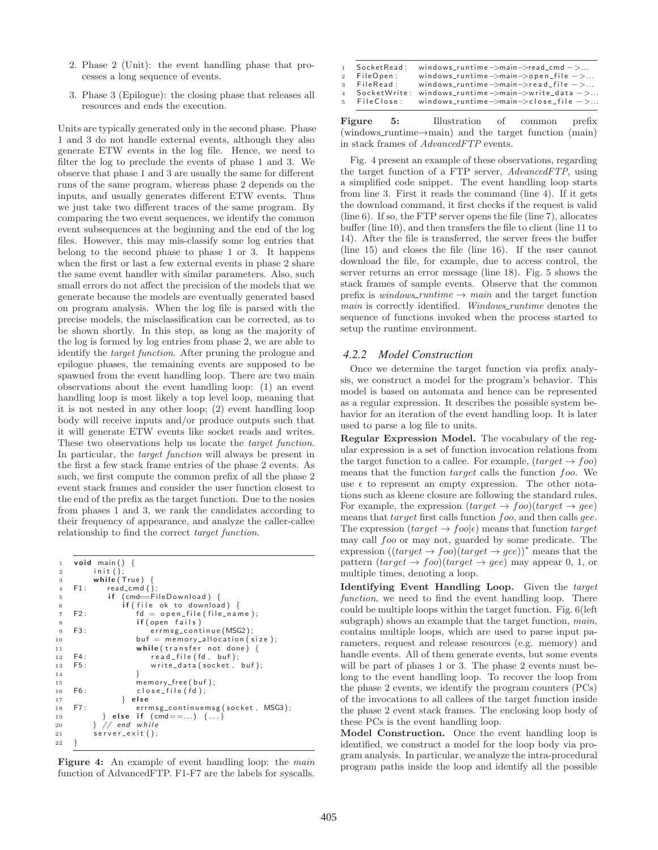- 2. Phase 2 (Unit): the event handling phase that processes a long sequence of events.
- 3. Phase 3 (Epilogue): the closing phase that releases all resources and ends the execution.

Units are typically generated only in the second phase. Phase 1 and 3 do not handle external events, although they also generate ETW events in the log file. Hence, we need to filter the log to preclude the events of phase 1 and 3. We observe that phase 1 and 3 are usually the same for different runs of the same program, whereas phase 2 depends on the inputs, and usually generates different ETW events. Thus we just take two different traces of the same program. By comparing the two event sequences, we identify the common event subsequences at the beginning and the end of the log files. However, this may mis-classify some log entries that belong to the second phase to phase 1 or 3. It happens when the first or last a few external events in phase 2 share the same event handler with similar parameters. Also, such small errors do not affect the precision of the models that we generate because the models are eventually generated based on program analysis. When the log file is parsed with the precise models, the misclassification can be corrected, as to be shown shortly. In this step, as long as the majority of the log is formed by log entries from phase 2, we are able to identify the *target function*. After pruning the prologue and epilogue phases, the remaining events are supposed to be spawned from the event handling loop. There are two main observations about the event handling loop: (1) an event handling loop is most likely a top level loop, meaning that it is not nested in any other loop; (2) event handling loop body will receive inputs and/or produce outputs such that it will generate ETW events like socket reads and writes. These two observations help us locate the *target function*. In particular, the *target function* will always be present in the first a few stack frame entries of the phase 2 events. As such, we first compute the common prefix of all the phase 2 event stack frames and consider the user function closest to the end of the prefix as the target function. Due to the nosies from phases 1 and 3, we rank the candidates according to their frequency of appearance, and analyze the caller-callee relationship to find the correct *target function*.

| 1              |               | void main() $\{$                     |
|----------------|---------------|--------------------------------------|
| $\overline{2}$ |               | $init()$ ;                           |
| 3              |               | while $(True)$ {                     |
| $\overline{4}$ | F1:           | $read\_cmd()$ ;                      |
| 5              |               | $if$ (cmd==FileDownload) {           |
| 6              |               | $if (file ok to download) { }$       |
| $\overline{7}$ | F2:           | $fd = open_file(file_name);$         |
| 8              |               | if(open fails)                       |
| 9              | F3:           | errmsg_continue(MSG2);               |
| 10             |               | $buf = memory_allocation(size);$     |
| 11             |               | while $(\text{transfer not done})$   |
| 12             | F4:           | read_file(fd, buf);                  |
| 13             | F5:           | write_data(socket, buf);             |
| $1\,4$         |               | ł                                    |
| 15             |               | memory_free(buf);                    |
| 16             | F6:           | $close_{}$ file (fd);                |
| 17             |               | $\mathcal{F}$<br>else                |
| 18             | F7:           | errmsg_continuemsg(socket, MSG3);    |
| 19             |               | } else if $(\text{cmd} == )$ $\{ \}$ |
| 20             |               | $\}$ // end while                    |
| 21             |               | server_exit();                       |
| 22             | $\mathcal{F}$ |                                      |
|                |               |                                      |



| SocketRead : | windows_runtime $\Rightarrow$ main $\Rightarrow$ read_cmd $\Rightarrow$                  |
|--------------|------------------------------------------------------------------------------------------|
| 2 FileOpen:  | windows_runtime $\Rightarrow$ main $\Rightarrow$ open_file $\Rightarrow$                 |
| 3 FileRead:  | windows_runtime $\Rightarrow$ main $\Rightarrow$ read_file $\Rightarrow$                 |
|              | 4 SocketWrite: windows_runtime $\Rightarrow$ main $\Rightarrow$ write_data $\Rightarrow$ |
|              | $5$ FileClose: windows_runtime->main->close_file ->                                      |

Figure 5: Illustration of common prefix  $(windows_runtime\rightarrow main)$  and the target function  $(main)$ in stack frames of *AdvancedFTP* events.

Fig. 4 present an example of these observations, regarding the target function of a FTP server, *AdvancedFTP*, using a simplified code snippet. The event handling loop starts from line 3. First it reads the command (line 4). If it gets the download command, it first checks if the request is valid (line 6). If so, the FTP server opens the file (line 7), allocates buffer (line 10), and then transfers the file to client (line 11 to 14). After the file is transferred, the server frees the buffer (line 15) and closes the file (line 16). If the user cannot download the file, for example, due to access control, the server returns an error message (line 18). Fig. 5 shows the stack frames of sample events. Observe that the common prefix is *windows\_runtime*  $\rightarrow$  *main* and the target function *main* is correctly identified. *Windows runtime* denotes the sequence of functions invoked when the process started to setup the runtime environment.

#### *4.2.2 Model Construction*

Once we determine the target function via prefix analysis, we construct a model for the program's behavior. This model is based on automata and hence can be represented as a regular expression. It describes the possible system behavior for an iteration of the event handling loop. It is later used to parse a log file to units.

**Regular Expression Model.** The vocabulary of the regular expression is a set of function invocation relations from the target function to a callee. For example,  $(target \rightarrow foo)$ means that the function target calls the function foo. We use  $\epsilon$  to represent an empty expression. The other notations such as kleene closure are following the standard rules. For example, the expression  $(target \rightarrow foo)(target \rightarrow gee)$ means that target first calls function foo, and then calls gee. The expression  $(target \rightarrow foo | \epsilon)$  means that function  $target$ may call foo or may not, guarded by some predicate. The expression  $((target \rightarrow foo)(target \rightarrow gee))^*$  means that the pattern  $(target \rightarrow foo)(target \rightarrow gee)$  may appear 0, 1, or multiple times, denoting a loop.

**Identifying Event Handling Loop.** Given the *target function*, we need to find the event handling loop. There could be multiple loops within the target function. Fig. 6(left subgraph) shows an example that the target function, *main*, contains multiple loops, which are used to parse input parameters, request and release resources (e.g. memory) and handle events. All of them generate events, but some events will be part of phases 1 or 3. The phase 2 events must belong to the event handling loop. To recover the loop from the phase 2 events, we identify the program counters (PCs) of the invocations to all callees of the target function inside the phase 2 event stack frames. The enclosing loop body of these PCs is the event handling loop.

**Model Construction.** Once the event handling loop is identified, we construct a model for the loop body via program analysis. In particular, we analyze the intra-procedural program paths inside the loop and identify all the possible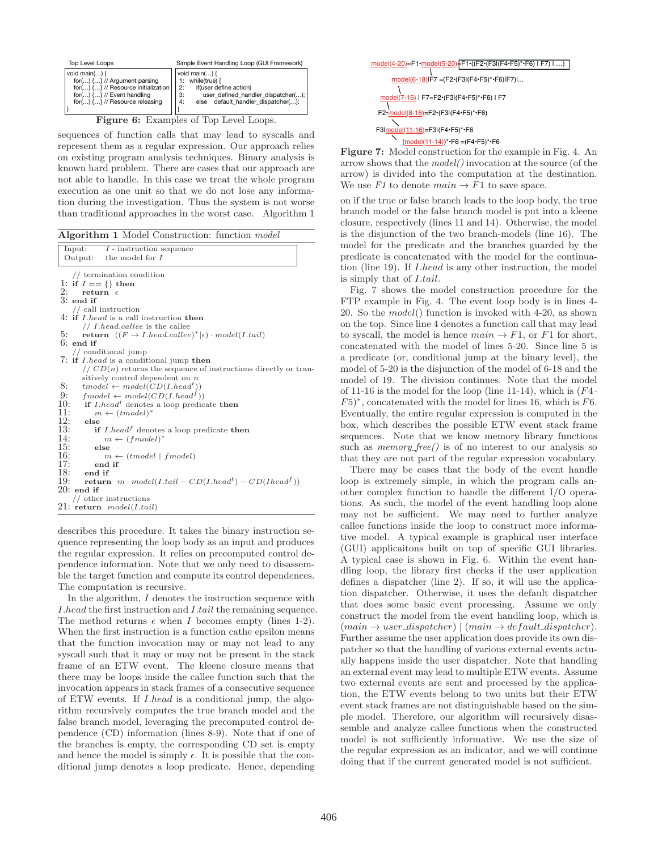| <b>Top Level Loops</b>                                                                                                                                         | Simple Event Handling Loop (GUI Framework)                                                                                                                         |
|----------------------------------------------------------------------------------------------------------------------------------------------------------------|--------------------------------------------------------------------------------------------------------------------------------------------------------------------|
| void main $()$ {<br>for() $\{\}$ // Argument parsing<br>for() {} // Resource initialization<br>for $()$ {} // Event handling<br>for() {} // Resource releasing | void main $()$ {<br>while(true) {<br>1:<br>if(user define action)<br>2:<br>user_defined_handler_dispatcher();<br>3:<br>default handler dispatcher();<br>4:<br>else |
|                                                                                                                                                                | <b>Figure 6:</b> Examples of Top Level Loops.                                                                                                                      |

sequences of function calls that may lead to syscalls and represent them as a regular expression. Our approach relies on existing program analysis techniques. Binary analysis is known hard problem. There are cases that our approach are not able to handle. In this case we treat the whole program execution as one unit so that we do not lose any information during the investigation. Thus the system is not worse than traditional approaches in the worst case. Algorithm 1

|  |  |  | <b>Algorithm 1</b> Model Construction: function model |  |  |
|--|--|--|-------------------------------------------------------|--|--|
|--|--|--|-------------------------------------------------------|--|--|

|     |                      | Input: $I$ - instruction sequence                                        |
|-----|----------------------|--------------------------------------------------------------------------|
|     |                      | Output: the model for $I$                                                |
|     |                      | $//$ termination condition                                               |
|     |                      | 1: if $I == \{\}$ then                                                   |
|     | 2: return $\epsilon$ |                                                                          |
|     | $3:$ end if          |                                                                          |
|     |                      | $//$ call instruction                                                    |
|     |                      | 4: if <i>I.head</i> is a call instruction then                           |
|     |                      | $// I. head.$ callee is the callee                                       |
|     |                      | 5: return $((F \rightarrow I.head. 1) *   \epsilon) \cdot model(I.tail)$ |
|     | $6:$ end if          |                                                                          |
|     |                      | // conditional jump                                                      |
|     |                      | 7: if <i>I.head</i> is a conditional jump then                           |
|     |                      | // $CD(n)$ returns the sequence of instructions directly or tran-        |
|     |                      | sitively control dependent on $n$                                        |
| 8:  |                      | $tmodel \leftarrow model(CD(I.\text{head}^t))$                           |
| 9:  |                      | $f model \leftarrow model(CD(I.head^f))$                                 |
| 10: |                      | if $I-headt$ denotes a loop predicate then                               |
| 11: |                      | $m \leftarrow (tmodel)^*$                                                |
| 12: | else                 |                                                                          |
| 13: |                      | <b>if</b> I.head <sup>f</sup> denotes a loop predicate then              |
| 14: |                      | $m \leftarrow (fmodel)^*$                                                |
| 15: | else                 |                                                                          |
| 16: |                      | $m \leftarrow (tmodel \mid fmodel)$                                      |
| 17: |                      | end if                                                                   |
|     | 18:<br>end if        |                                                                          |
| 19: |                      | <b>return</b> $m \cdot model(I.tail - CD(I.head^t) - CD(I head^f))$      |
|     | $20:$ end if         |                                                                          |
|     |                      | $//$ other instructions                                                  |
|     |                      | 21: return $model(I.tail)$                                               |

describes this procedure. It takes the binary instruction sequence representing the loop body as an input and produces the regular expression. It relies on precomputed control dependence information. Note that we only need to disassemble the target function and compute its control dependences. The computation is recursive.

In the algorithm, I denotes the instruction sequence with I.head the first instruction and I.tail the remaining sequence. The method returns  $\epsilon$  when I becomes empty (lines 1-2). When the first instruction is a function cathe epsilon means that the function invocation may or may not lead to any syscall such that it may or may not be present in the stack frame of an ETW event. The kleene closure means that there may be loops inside the callee function such that the invocation appears in stack frames of a consecutive sequence of ETW events. If I.head is a conditional jump, the algorithm recursively computes the true branch model and the false branch model, leveraging the precomputed control dependence (CD) information (lines 8-9). Note that if one of the branches is empty, the corresponding CD set is empty and hence the model is simply  $\epsilon$ . It is possible that the conditional jump denotes a loop predicate. Hence, depending



**Figure 7:** Model construction for the example in Fig. 4. An arrow shows that the *model()* invocation at the source (of the arrow) is divided into the computation at the destination. We use  $F1$  to denote  $main \rightarrow F1$  to save space.

on if the true or false branch leads to the loop body, the true branch model or the false branch model is put into a kleene closure, respectively (lines 11 and 14). Otherwise, the model is the disjunction of the two branch-models (line 16). The model for the predicate and the branches guarded by the predicate is concatenated with the model for the continuation (line 19). If I.head is any other instruction, the model is simply that of I.tail.

Fig. 7 shows the model construction procedure for the FTP example in Fig. 4. The event loop body is in lines 4- 20. So the model() function is invoked with 4-20, as shown on the top. Since line 4 denotes a function call that may lead to syscall, the model is hence  $main \rightarrow F1$ , or  $F1$  for short, concatenated with the model of lines 5-20. Since line 5 is a predicate (or, conditional jump at the binary level), the model of 5-20 is the disjunction of the model of 6-18 and the model of 19. The division continues. Note that the model of 11-16 is the model for the loop (line 11-14), which is  $(F4 \cdot$  $F5$ <sup>\*</sup>, concatenated with the model for lines 16, which is F6. Eventually, the entire regular expression is computed in the box, which describes the possible ETW event stack frame sequences. Note that we know memory library functions such as *memory\_free()* is of no interest to our analysis so that they are not part of the regular expression vocabulary.

There may be cases that the body of the event handle loop is extremely simple, in which the program calls another complex function to handle the different I/O operations. As such, the model of the event handling loop alone may not be sufficient. We may need to further analyze callee functions inside the loop to construct more informative model. A typical example is graphical user interface (GUI) applicaitons built on top of specific GUI libraries. A typical case is shown in Fig. 6. Within the event handling loop, the library first checks if the user application defines a dispatcher (line 2). If so, it will use the application dispatcher. Otherwise, it uses the default dispatcher that does some basic event processing. Assume we only construct the model from the event handling loop, which is  $(main \rightarrow user\_dispatcher) \mid (main \rightarrow default\_dispatcher).$ Further assume the user application does provide its own dispatcher so that the handling of various external events actually happens inside the user dispatcher. Note that handling an external event may lead to multiple ETW events. Assume two external events are sent and processed by the application, the ETW events belong to two units but their ETW event stack frames are not distinguishable based on the simple model. Therefore, our algorithm will recursively disassemble and analyze callee functions when the constructed model is not sufficiently informative. We use the size of the regular expression as an indicator, and we will continue doing that if the current generated model is not sufficient.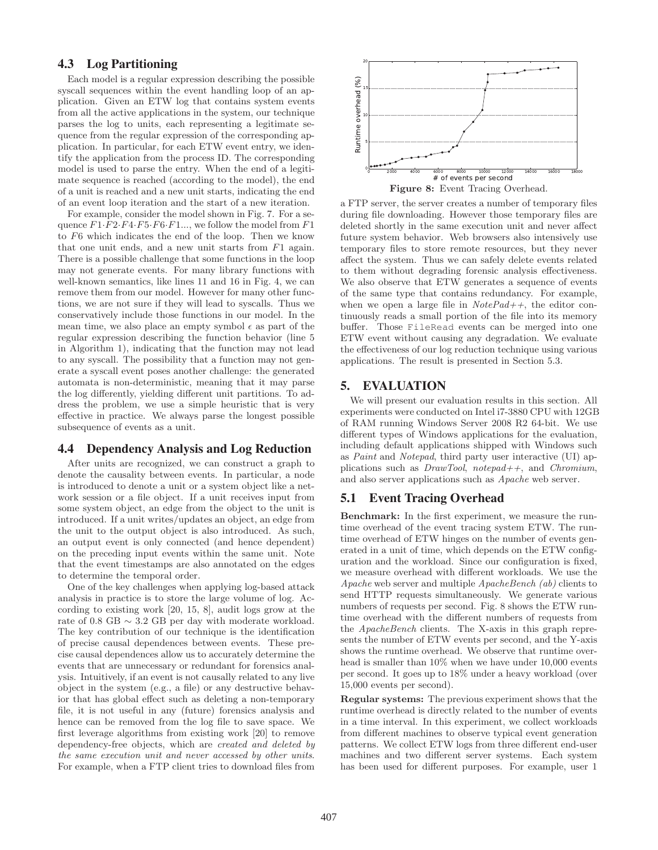## 4.3 Log Partitioning

Each model is a regular expression describing the possible syscall sequences within the event handling loop of an application. Given an ETW log that contains system events from all the active applications in the system, our technique parses the log to units, each representing a legitimate sequence from the regular expression of the corresponding application. In particular, for each ETW event entry, we identify the application from the process ID. The corresponding model is used to parse the entry. When the end of a legitimate sequence is reached (according to the model), the end of a unit is reached and a new unit starts, indicating the end of an event loop iteration and the start of a new iteration.

For example, consider the model shown in Fig. 7. For a sequence  $F1 \cdot F2 \cdot F4 \cdot F5 \cdot F6 \cdot F1...$ , we follow the model from  $F1$ to F6 which indicates the end of the loop. Then we know that one unit ends, and a new unit starts from F1 again. There is a possible challenge that some functions in the loop may not generate events. For many library functions with well-known semantics, like lines 11 and 16 in Fig. 4, we can remove them from our model. However for many other functions, we are not sure if they will lead to syscalls. Thus we conservatively include those functions in our model. In the mean time, we also place an empty symbol  $\epsilon$  as part of the regular expression describing the function behavior (line 5 in Algorithm 1), indicating that the function may not lead to any syscall. The possibility that a function may not generate a syscall event poses another challenge: the generated automata is non-deterministic, meaning that it may parse the log differently, yielding different unit partitions. To address the problem, we use a simple heuristic that is very effective in practice. We always parse the longest possible subsequence of events as a unit.

## 4.4 Dependency Analysis and Log Reduction

After units are recognized, we can construct a graph to denote the causality between events. In particular, a node is introduced to denote a unit or a system object like a network session or a file object. If a unit receives input from some system object, an edge from the object to the unit is introduced. If a unit writes/updates an object, an edge from the unit to the output object is also introduced. As such, an output event is only connected (and hence dependent) on the preceding input events within the same unit. Note that the event timestamps are also annotated on the edges to determine the temporal order.

One of the key challenges when applying log-based attack analysis in practice is to store the large volume of log. According to existing work [20, 15, 8], audit logs grow at the rate of 0.8 GB ∼ 3.2 GB per day with moderate workload. The key contribution of our technique is the identification of precise causal dependences between events. These precise causal dependences allow us to accurately determine the events that are unnecessary or redundant for forensics analysis. Intuitively, if an event is not causally related to any live object in the system (e.g., a file) or any destructive behavior that has global effect such as deleting a non-temporary file, it is not useful in any (future) forensics analysis and hence can be removed from the log file to save space. We first leverage algorithms from existing work [20] to remove dependency-free objects, which are *created and deleted by the same execution unit and never accessed by other units*. For example, when a FTP client tries to download files from



a FTP server, the server creates a number of temporary files during file downloading. However those temporary files are deleted shortly in the same execution unit and never affect future system behavior. Web browsers also intensively use temporary files to store remote resources, but they never affect the system. Thus we can safely delete events related to them without degrading forensic analysis effectiveness. We also observe that ETW generates a sequence of events of the same type that contains redundancy. For example, when we open a large file in *NotePad++*, the editor continuously reads a small portion of the file into its memory buffer. Those FileRead events can be merged into one ETW event without causing any degradation. We evaluate the effectiveness of our log reduction technique using various applications. The result is presented in Section 5.3.

#### 5. EVALUATION

We will present our evaluation results in this section. All experiments were conducted on Intel i7-3880 CPU with 12GB of RAM running Windows Server 2008 R2 64-bit. We use different types of Windows applications for the evaluation, including default applications shipped with Windows such as *Paint* and *Notepad*, third party user interactive (UI) applications such as *DrawTool*, *notepad++*, and *Chromium*, and also server applications such as *Apache* web server.

#### 5.1 Event Tracing Overhead

**Benchmark:** In the first experiment, we measure the runtime overhead of the event tracing system ETW. The runtime overhead of ETW hinges on the number of events generated in a unit of time, which depends on the ETW configuration and the workload. Since our configuration is fixed, we measure overhead with different workloads. We use the *Apache* web server and multiple *ApacheBench (ab)* clients to send HTTP requests simultaneously. We generate various numbers of requests per second. Fig. 8 shows the ETW runtime overhead with the different numbers of requests from the *ApacheBench* clients. The X-axis in this graph represents the number of ETW events per second, and the Y-axis shows the runtime overhead. We observe that runtime overhead is smaller than 10% when we have under 10,000 events per second. It goes up to 18% under a heavy workload (over 15,000 events per second).

**Regular systems:** The previous experiment shows that the runtime overhead is directly related to the number of events in a time interval. In this experiment, we collect workloads from different machines to observe typical event generation patterns. We collect ETW logs from three different end-user machines and two different server systems. Each system has been used for different purposes. For example, user 1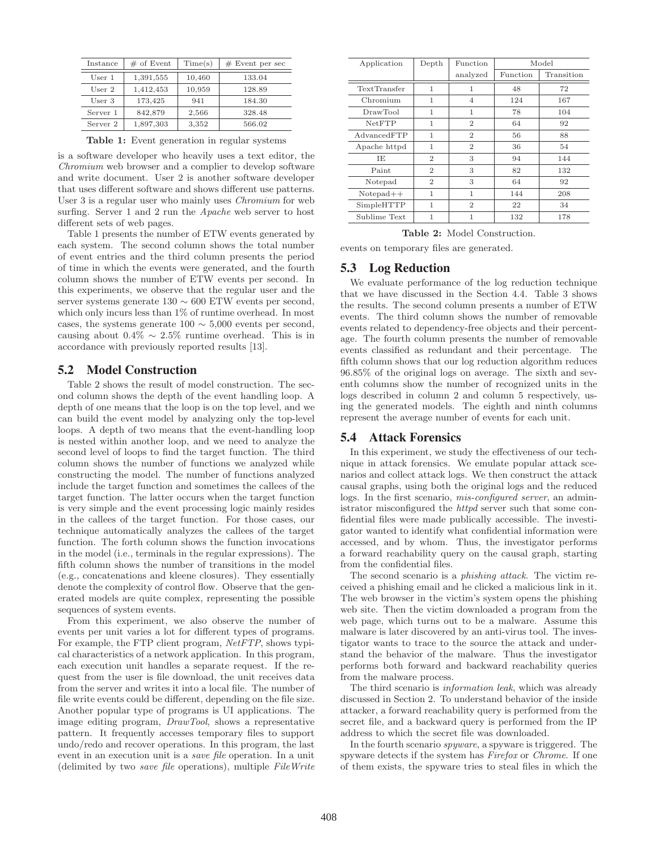| Instance            | $#$ of Event | Time(s) | $#$ Event per sec |
|---------------------|--------------|---------|-------------------|
| User <sub>1</sub>   | 1,391,555    | 10,460  | 133.04            |
| User <sub>2</sub>   | 1,412,453    | 10,959  | 128.89            |
| User <sub>3</sub>   | 173,425      | 941     | 184.30            |
| Server 1            | 842,879      | 2,566   | 328.48            |
| Server <sub>2</sub> | 1,897,303    | 3,352   | 566.02            |

**Table 1:** Event generation in regular systems

is a software developer who heavily uses a text editor, the *Chromium* web browser and a complier to develop software and write document. User 2 is another software developer that uses different software and shows different use patterns. User 3 is a regular user who mainly uses *Chromium* for web surfing. Server 1 and 2 run the *Apache* web server to host different sets of web pages.

Table 1 presents the number of ETW events generated by each system. The second column shows the total number of event entries and the third column presents the period of time in which the events were generated, and the fourth column shows the number of ETW events per second. In this experiments, we observe that the regular user and the server systems generate  $130 \sim 600$  ETW events per second, which only incurs less than 1% of runtime overhead. In most cases, the systems generate  $100 \sim 5,000$  events per second, causing about  $0.4\% \sim 2.5\%$  runtime overhead. This is in accordance with previously reported results [13].

#### 5.2 Model Construction

Table 2 shows the result of model construction. The second column shows the depth of the event handling loop. A depth of one means that the loop is on the top level, and we can build the event model by analyzing only the top-level loops. A depth of two means that the event-handling loop is nested within another loop, and we need to analyze the second level of loops to find the target function. The third column shows the number of functions we analyzed while constructing the model. The number of functions analyzed include the target function and sometimes the callees of the target function. The latter occurs when the target function is very simple and the event processing logic mainly resides in the callees of the target function. For those cases, our technique automatically analyzes the callees of the target function. The forth column shows the function invocations in the model (i.e., terminals in the regular expressions). The fifth column shows the number of transitions in the model (e.g., concatenations and kleene closures). They essentially denote the complexity of control flow. Observe that the generated models are quite complex, representing the possible sequences of system events.

From this experiment, we also observe the number of events per unit varies a lot for different types of programs. For example, the FTP client program, *NetFTP*, shows typical characteristics of a network application. In this program, each execution unit handles a separate request. If the request from the user is file download, the unit receives data from the server and writes it into a local file. The number of file write events could be different, depending on the file size. Another popular type of programs is UI applications. The image editing program, *DrawTool*, shows a representative pattern. It frequently accesses temporary files to support undo/redo and recover operations. In this program, the last event in an execution unit is a *save file* operation. In a unit (delimited by two *save file* operations), multiple *FileWrite*

| Application         | Depth          | Function       | Model    |            |
|---------------------|----------------|----------------|----------|------------|
|                     |                | analyzed       | Function | Transition |
| <b>TextTransfer</b> | 1              | 1              | 48       | 72         |
| Chromium            | 1              | 4              | 124      | 167        |
| DrawTool            | 1              | 1              | 78       | 104        |
| <b>NetFTP</b>       | 1              | $\overline{2}$ | 64       | 92         |
| AdvancedFTP         | 1              | $\overline{2}$ | 56       | 88         |
| Apache httpd        | 1              | $\overline{2}$ | 36       | 54         |
| ΙE                  | $\overline{2}$ | 3              | 94       | 144        |
| Paint               | $\overline{2}$ | 3              | 82       | 132        |
| Notepad             | $\overline{2}$ | 3              | 64       | 92         |
| $Notepad++$         | 1              | 1              | 144      | 208        |
| SimpleHTTP          | 1              | $\overline{2}$ | 22       | 34         |
| Sublime Text        | 1              | 1              | 132      | 178        |

**Table 2:** Model Construction.

events on temporary files are generated.

#### 5.3 Log Reduction

We evaluate performance of the log reduction technique that we have discussed in the Section 4.4. Table 3 shows the results. The second column presents a number of ETW events. The third column shows the number of removable events related to dependency-free objects and their percentage. The fourth column presents the number of removable events classified as redundant and their percentage. The fifth column shows that our log reduction algorithm reduces 96.85% of the original logs on average. The sixth and seventh columns show the number of recognized units in the logs described in column 2 and column 5 respectively, using the generated models. The eighth and ninth columns represent the average number of events for each unit.

#### 5.4 Attack Forensics

In this experiment, we study the effectiveness of our technique in attack forensics. We emulate popular attack scenarios and collect attack logs. We then construct the attack causal graphs, using both the original logs and the reduced logs. In the first scenario, *mis-configured server*, an administrator misconfigured the *httpd* server such that some confidential files were made publically accessible. The investigator wanted to identify what confidential information were accessed, and by whom. Thus, the investigator performs a forward reachability query on the causal graph, starting from the confidential files.

The second scenario is a *phishing attack*. The victim received a phishing email and he clicked a malicious link in it. The web browser in the victim's system opens the phishing web site. Then the victim downloaded a program from the web page, which turns out to be a malware. Assume this malware is later discovered by an anti-virus tool. The investigator wants to trace to the source the attack and understand the behavior of the malware. Thus the investigator performs both forward and backward reachability queries from the malware process.

The third scenario is *information leak*, which was already discussed in Section 2. To understand behavior of the inside attacker, a forward reachability query is performed from the secret file, and a backward query is performed from the IP address to which the secret file was downloaded.

In the fourth scenario *spyware*, a spyware is triggered. The spyware detects if the system has *Firefox* or *Chrome*. If one of them exists, the spyware tries to steal files in which the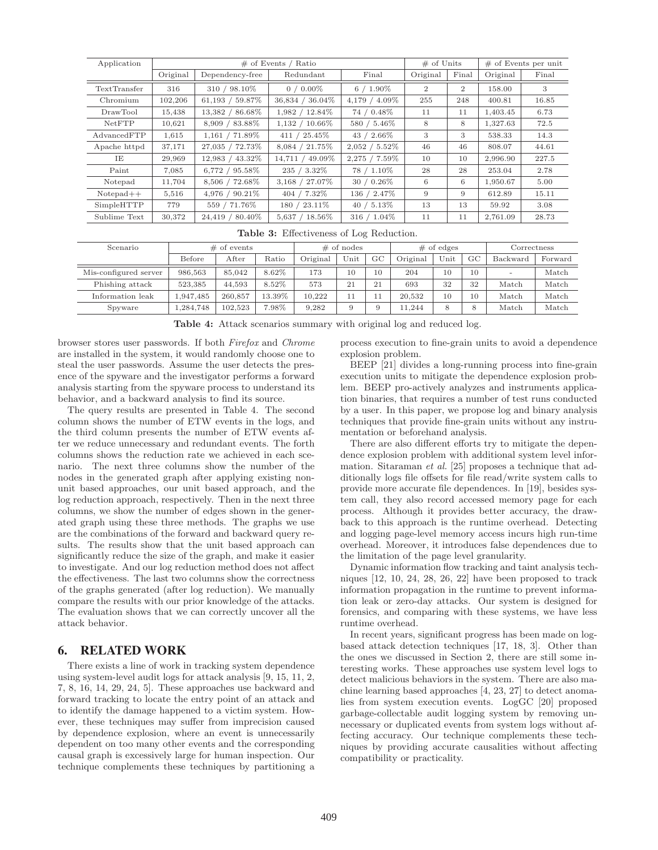| Application     |          | $\#$ of Events / Ratio | $#$ of Units      |                  | $#$ of Events per unit |                |          |       |
|-----------------|----------|------------------------|-------------------|------------------|------------------------|----------------|----------|-------|
|                 | Original | Dependency-free        | Redundant         | Final            | Original               | Final          | Original | Final |
| TextTransfer    | 316      | 310 / 98.10%           | $0/0.00\%$        | $6/1.90\%$       | $\overline{2}$         | $\overline{2}$ | 158.00   | 3     |
| Chromium        | 102,206  | 59.87%<br>61.193/      | 36.04%<br>36,834/ | $4,179/4.09\%$   | 255                    | 248            | 400.81   | 16.85 |
| <b>DrawTool</b> | 15,438   | 13,382 / 86.68%        | $1,982 / 12.84\%$ | 74 / 0.48%       | 11                     | 11             | 1,403.45 | 6.73  |
| NetFTP          | 10,621   | 83.88%<br>8,909/       | $1,132 / 10.66\%$ | 580 / 5.46%      | 8                      | 8              | 1,327.63 | 72.5  |
| AdvancedFTP     | 1,615    | $1,161 / 71.89\%$      | $411 / 25.45\%$   | $43 / 2.66\%$    | 3                      | 3              | 538.33   | 14.3  |
| Apache httpd    | 37,171   | 72.73%<br>$27.035$ /   | $8.084 / 21.75\%$ | $2,052 / 5.52\%$ | 46                     | 46             | 808.07   | 44.61 |
| IE              | 29.969   | 43.32%<br>12.983       | 49.09%<br>14.711/ | $2,275 / 7.59\%$ | 10                     | 10             | 2.996.90 | 227.5 |
| Paint           | 7.085    | $6,772 / 95.58\%$      | 235 / 3.32%       | 78 / 1.10%       | 28                     | 28             | 253.04   | 2.78  |
| Notepad         | 11.704   | 72.68%<br>8.506        | 3,168 / 27.07%    | $30 / 0.26\%$    | 6                      | 6              | 1.950.67 | 5.00  |
| $Notepad++$     | 5,516    | $4.976 / 90.21\%$      | 404 / 7.32%       | 136 / 2.47%      | 9                      | 9              | 612.89   | 15.11 |
| SimpleHTTP      | 779      | 559 / 71.76%           | 180 / 23.11\%     | $40/5.13\%$      | 13                     | 13             | 59.92    | 3.08  |
| Sublime Text    | 30,372   | 24,419 / 80.40\%       | $5,637 / 18.56\%$ | 316 / 1.04%      | 11                     | 11             | 2.761.09 | 28.73 |

**Table 3:** Effectiveness of Log Reduction.

| Scenario              | $\#$ of events |         |        | $\#$ of nodes |      | $#$ of edges |          |      | $\rm Correctness$ |                          |         |
|-----------------------|----------------|---------|--------|---------------|------|--------------|----------|------|-------------------|--------------------------|---------|
|                       | Before         | After   | Ratio  | Original      | Unit | GC           | Original | Unit | $_{\rm GC}$       | Backward                 | Forward |
| Mis-configured server | 986.563        | 85,042  | 8.62%  | 173           | 10   | 10           | 204      | 10   | 10                | $\overline{\phantom{a}}$ | Match   |
| Phishing attack       | 523.385        | 44,593  | 8.52%  | 573           | 21   | 21           | 693      | 32   | 32                | Match                    | Match   |
| Information leak      | 1.947.485      | 260.857 | 13.39% | 10.222        | 11   |              | 20.532   | 10   | 10                | Match                    | Match   |
| Spyware               | 1.284.748      | 102.523 | 7.98%  | 9.282         | 9    | 9            | 11.244   |      |                   | Match                    | Match   |

**Table 4:** Attack scenarios summary with original log and reduced log.

browser stores user passwords. If both *Firefox* and *Chrome* are installed in the system, it would randomly choose one to steal the user passwords. Assume the user detects the presence of the spyware and the investigator performs a forward analysis starting from the spyware process to understand its behavior, and a backward analysis to find its source.

The query results are presented in Table 4. The second column shows the number of ETW events in the logs, and the third column presents the number of ETW events after we reduce unnecessary and redundant events. The forth columns shows the reduction rate we achieved in each scenario. The next three columns show the number of the nodes in the generated graph after applying existing nonunit based approaches, our unit based approach, and the log reduction approach, respectively. Then in the next three columns, we show the number of edges shown in the generated graph using these three methods. The graphs we use are the combinations of the forward and backward query results. The results show that the unit based approach can significantly reduce the size of the graph, and make it easier to investigate. And our log reduction method does not affect the effectiveness. The last two columns show the correctness of the graphs generated (after log reduction). We manually compare the results with our prior knowledge of the attacks. The evaluation shows that we can correctly uncover all the attack behavior.

## 6. RELATED WORK

 $=$ 

There exists a line of work in tracking system dependence using system-level audit logs for attack analysis [9, 15, 11, 2, 7, 8, 16, 14, 29, 24, 5]. These approaches use backward and forward tracking to locate the entry point of an attack and to identify the damage happened to a victim system. However, these techniques may suffer from imprecision caused by dependence explosion, where an event is unnecessarily dependent on too many other events and the corresponding causal graph is excessively large for human inspection. Our technique complements these techniques by partitioning a process execution to fine-grain units to avoid a dependence explosion problem.

BEEP [21] divides a long-running process into fine-grain execution units to mitigate the dependence explosion problem. BEEP pro-actively analyzes and instruments application binaries, that requires a number of test runs conducted by a user. In this paper, we propose log and binary analysis techniques that provide fine-grain units without any instrumentation or beforehand analysis.

There are also different efforts try to mitigate the dependence explosion problem with additional system level information. Sitaraman *et al.* [25] proposes a technique that additionally logs file offsets for file read/write system calls to provide more accurate file dependences. In [19], besides system call, they also record accessed memory page for each process. Although it provides better accuracy, the drawback to this approach is the runtime overhead. Detecting and logging page-level memory access incurs high run-time overhead. Moreover, it introduces false dependences due to the limitation of the page level granularity.

Dynamic information flow tracking and taint analysis techniques [12, 10, 24, 28, 26, 22] have been proposed to track information propagation in the runtime to prevent information leak or zero-day attacks. Our system is designed for forensics, and comparing with these systems, we have less runtime overhead.

In recent years, significant progress has been made on logbased attack detection techniques [17, 18, 3]. Other than the ones we discussed in Section 2, there are still some interesting works. These approaches use system level logs to detect malicious behaviors in the system. There are also machine learning based approaches [4, 23, 27] to detect anomalies from system execution events. LogGC [20] proposed garbage-collectable audit logging system by removing unnecessary or duplicated events from system logs without affecting accuracy. Our technique complements these techniques by providing accurate causalities without affecting compatibility or practicality.